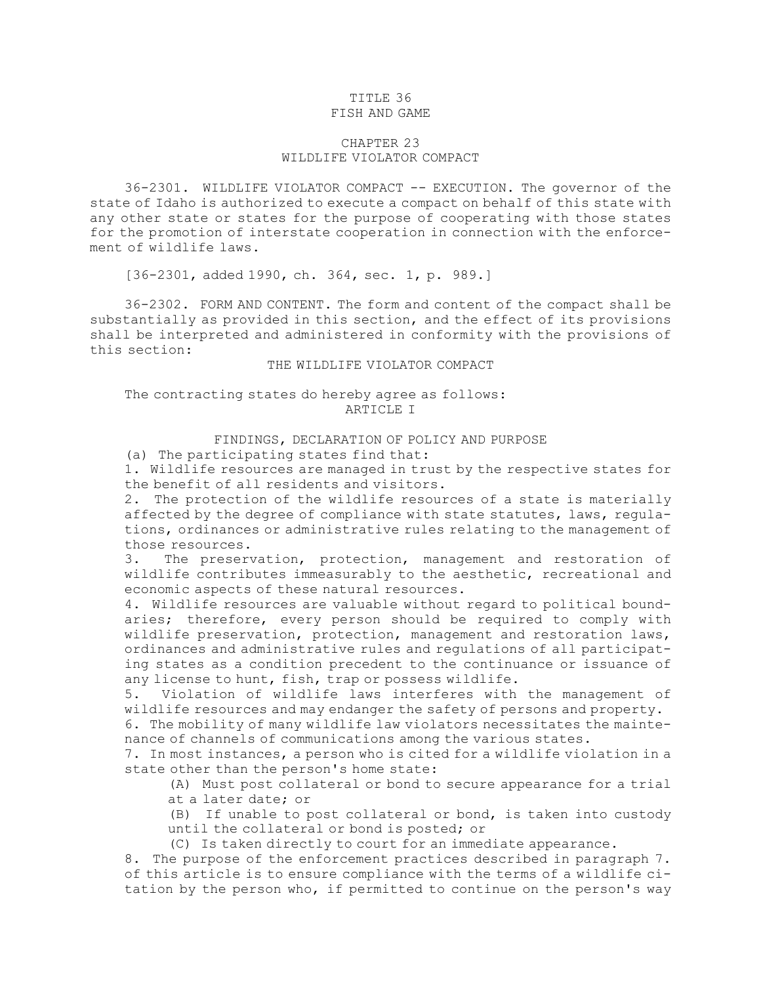### TITLE 36 FISH AND GAME

# CHAPTER 23 WILDLIFE VIOLATOR COMPACT

36-2301. WILDLIFE VIOLATOR COMPACT -- EXECUTION. The governor of the state of Idaho is authorized to execute <sup>a</sup> compact on behalf of this state with any other state or states for the purpose of cooperating with those states for the promotion of interstate cooperation in connection with the enforcement of wildlife laws.

[36-2301, added 1990, ch. 364, sec. 1, p. 989.]

36-2302. FORM AND CONTENT. The form and content of the compact shall be substantially as provided in this section, and the effect of its provisions shall be interpreted and administered in conformity with the provisions of this section:

### THE WILDLIFE VIOLATOR COMPACT

# The contracting states do hereby agree as follows: ARTICLE I

### FINDINGS, DECLARATION OF POLICY AND PURPOSE

(a) The participating states find that:

1. Wildlife resources are managed in trust by the respective states for the benefit of all residents and visitors.

2. The protection of the wildlife resources of <sup>a</sup> state is materially affected by the degree of compliance with state statutes, laws, regulations, ordinances or administrative rules relating to the management of those resources.

3. The preservation, protection, management and restoration of wildlife contributes immeasurably to the aesthetic, recreational and economic aspects of these natural resources.

4. Wildlife resources are valuable without regard to political boundaries; therefore, every person should be required to comply with wildlife preservation, protection, management and restoration laws, ordinances and administrative rules and regulations of all participating states as <sup>a</sup> condition precedent to the continuance or issuance of any license to hunt, fish, trap or possess wildlife.

5. Violation of wildlife laws interferes with the management of wildlife resources and may endanger the safety of persons and property.

6. The mobility of many wildlife law violators necessitates the maintenance of channels of communications among the various states.

7. In most instances, <sup>a</sup> person who is cited for <sup>a</sup> wildlife violation in <sup>a</sup> state other than the person's home state:

(A) Must post collateral or bond to secure appearance for <sup>a</sup> trial at <sup>a</sup> later date; or

(B) If unable to post collateral or bond, is taken into custody until the collateral or bond is posted; or

(C) Is taken directly to court for an immediate appearance.

8. The purpose of the enforcement practices described in paragraph 7. of this article is to ensure compliance with the terms of <sup>a</sup> wildlife citation by the person who, if permitted to continue on the person's way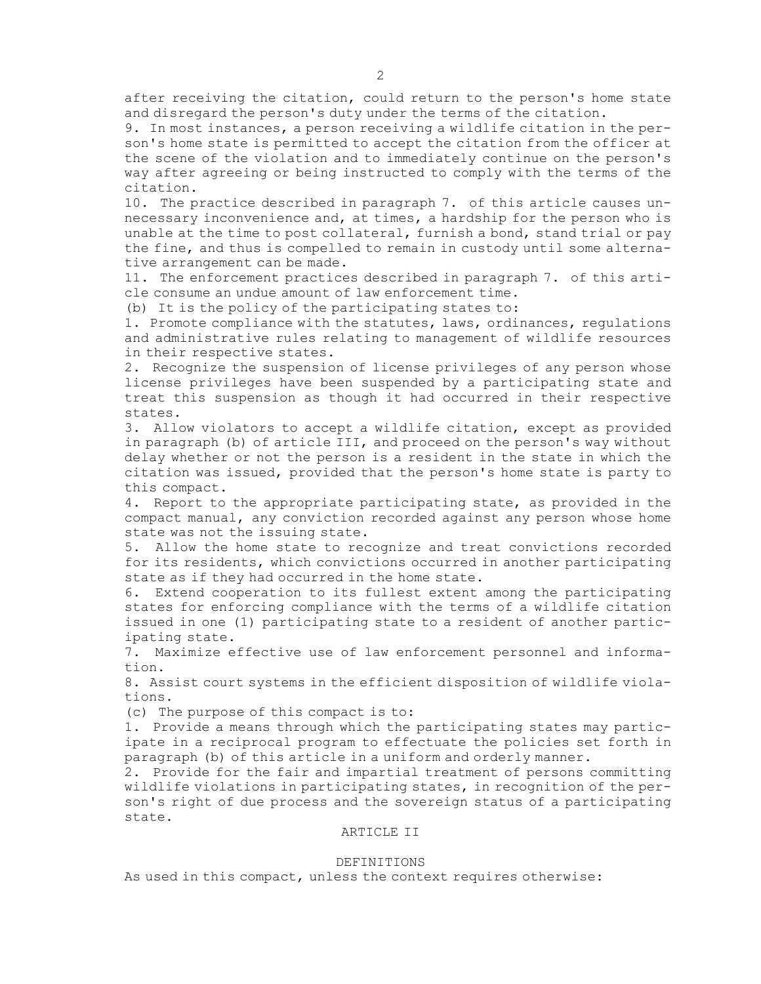after receiving the citation, could return to the person's home state and disregard the person's duty under the terms of the citation.

9. In most instances, <sup>a</sup> person receiving <sup>a</sup> wildlife citation in the person's home state is permitted to accept the citation from the officer at the scene of the violation and to immediately continue on the person's way after agreeing or being instructed to comply with the terms of the citation.

10. The practice described in paragraph 7. of this article causes unnecessary inconvenience and, at times, <sup>a</sup> hardship for the person who is unable at the time to post collateral, furnish <sup>a</sup> bond, stand trial or pay the fine, and thus is compelled to remain in custody until some alternative arrangement can be made.

11. The enforcement practices described in paragraph 7. of this article consume an undue amount of law enforcement time.

(b) It is the policy of the participating states to:

1. Promote compliance with the statutes, laws, ordinances, regulations and administrative rules relating to management of wildlife resources in their respective states.

2. Recognize the suspension of license privileges of any person whose license privileges have been suspended by <sup>a</sup> participating state and treat this suspension as though it had occurred in their respective states.

3. Allow violators to accept <sup>a</sup> wildlife citation, except as provided in paragraph (b) of article III, and proceed on the person's way without delay whether or not the person is <sup>a</sup> resident in the state in which the citation was issued, provided that the person's home state is party to this compact.

4. Report to the appropriate participating state, as provided in the compact manual, any conviction recorded against any person whose home state was not the issuing state.

5. Allow the home state to recognize and treat convictions recorded for its residents, which convictions occurred in another participating state as if they had occurred in the home state.

6. Extend cooperation to its fullest extent among the participating states for enforcing compliance with the terms of <sup>a</sup> wildlife citation issued in one (1) participating state to <sup>a</sup> resident of another participating state.

7. Maximize effective use of law enforcement personnel and information.

8. Assist court systems in the efficient disposition of wildlife violations.

(c) The purpose of this compact is to:

1. Provide <sup>a</sup> means through which the participating states may participate in <sup>a</sup> reciprocal program to effectuate the policies set forth in paragraph (b) of this article in <sup>a</sup> uniform and orderly manner.

2. Provide for the fair and impartial treatment of persons committing wildlife violations in participating states, in recognition of the person's right of due process and the sovereign status of <sup>a</sup> participating state.

## ARTICLE II

#### DEFINITIONS

As used in this compact, unless the context requires otherwise: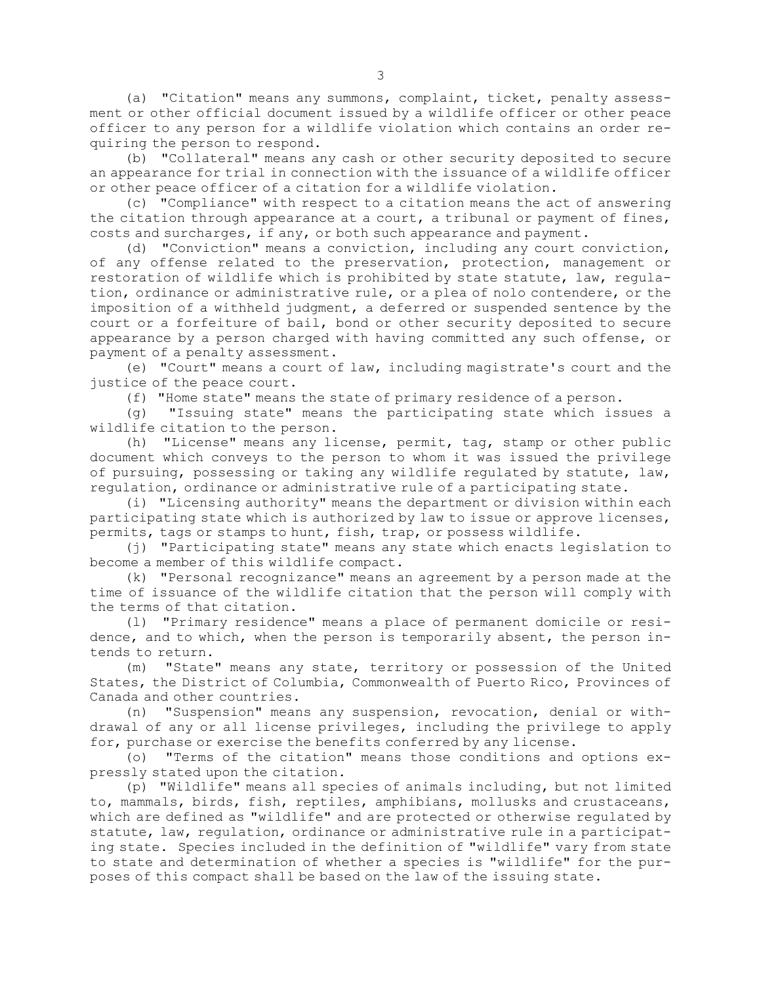(a) "Citation" means any summons, complaint, ticket, penalty assessment or other official document issued by <sup>a</sup> wildlife officer or other peace officer to any person for <sup>a</sup> wildlife violation which contains an order requiring the person to respond.

(b) "Collateral" means any cash or other security deposited to secure an appearance for trial in connection with the issuance of <sup>a</sup> wildlife officer or other peace officer of <sup>a</sup> citation for <sup>a</sup> wildlife violation.

(c) "Compliance" with respect to <sup>a</sup> citation means the act of answering the citation through appearance at <sup>a</sup> court, <sup>a</sup> tribunal or payment of fines, costs and surcharges, if any, or both such appearance and payment.

(d) "Conviction" means <sup>a</sup> conviction, including any court conviction, of any offense related to the preservation, protection, management or restoration of wildlife which is prohibited by state statute, law, regulation, ordinance or administrative rule, or <sup>a</sup> plea of nolo contendere, or the imposition of <sup>a</sup> withheld judgment, <sup>a</sup> deferred or suspended sentence by the court or <sup>a</sup> forfeiture of bail, bond or other security deposited to secure appearance by <sup>a</sup> person charged with having committed any such offense, or payment of <sup>a</sup> penalty assessment.

(e) "Court" means <sup>a</sup> court of law, including magistrate's court and the justice of the peace court.

(f) "Home state" means the state of primary residence of <sup>a</sup> person.

(g) "Issuing state" means the participating state which issues <sup>a</sup> wildlife citation to the person.

(h) "License" means any license, permit, tag, stamp or other public document which conveys to the person to whom it was issued the privilege of pursuing, possessing or taking any wildlife regulated by statute, law, regulation, ordinance or administrative rule of <sup>a</sup> participating state.

(i) "Licensing authority" means the department or division within each participating state which is authorized by law to issue or approve licenses, permits, tags or stamps to hunt, fish, trap, or possess wildlife.

(j) "Participating state" means any state which enacts legislation to become <sup>a</sup> member of this wildlife compact.

(k) "Personal recognizance" means an agreement by <sup>a</sup> person made at the time of issuance of the wildlife citation that the person will comply with the terms of that citation.

(l) "Primary residence" means <sup>a</sup> place of permanent domicile or residence, and to which, when the person is temporarily absent, the person intends to return.

(m) "State" means any state, territory or possession of the United States, the District of Columbia, Commonwealth of Puerto Rico, Provinces of Canada and other countries.

(n) "Suspension" means any suspension, revocation, denial or withdrawal of any or all license privileges, including the privilege to apply for, purchase or exercise the benefits conferred by any license.

(o) "Terms of the citation" means those conditions and options expressly stated upon the citation.

(p) "Wildlife" means all species of animals including, but not limited to, mammals, birds, fish, reptiles, amphibians, mollusks and crustaceans, which are defined as "wildlife" and are protected or otherwise regulated by statute, law, regulation, ordinance or administrative rule in <sup>a</sup> participating state. Species included in the definition of "wildlife" vary from state to state and determination of whether <sup>a</sup> species is "wildlife" for the purposes of this compact shall be based on the law of the issuing state.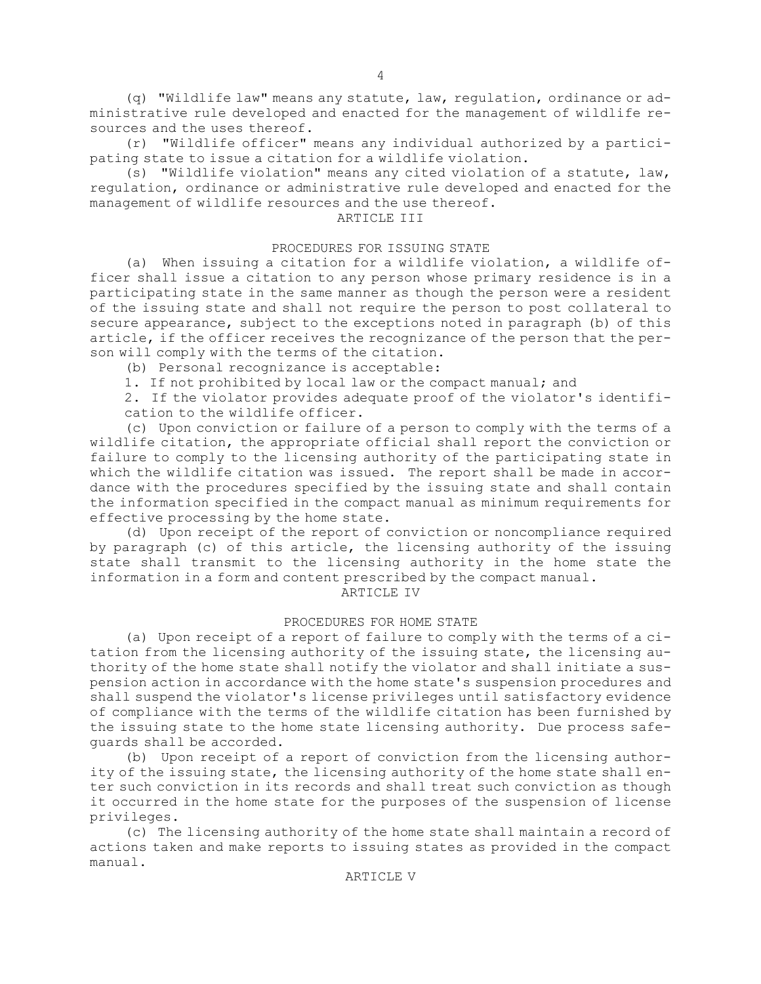(q) "Wildlife law" means any statute, law, regulation, ordinance or administrative rule developed and enacted for the management of wildlife resources and the uses thereof.

4

(r) "Wildlife officer" means any individual authorized by <sup>a</sup> participating state to issue <sup>a</sup> citation for <sup>a</sup> wildlife violation.

(s) "Wildlife violation" means any cited violation of <sup>a</sup> statute, law, regulation, ordinance or administrative rule developed and enacted for the management of wildlife resources and the use thereof.

# ARTICLE III

### PROCEDURES FOR ISSUING STATE

(a) When issuing <sup>a</sup> citation for <sup>a</sup> wildlife violation, <sup>a</sup> wildlife officer shall issue <sup>a</sup> citation to any person whose primary residence is in <sup>a</sup> participating state in the same manner as though the person were <sup>a</sup> resident of the issuing state and shall not require the person to post collateral to secure appearance, subject to the exceptions noted in paragraph (b) of this article, if the officer receives the recognizance of the person that the person will comply with the terms of the citation.

(b) Personal recognizance is acceptable:

1. If not prohibited by local law or the compact manual; and

2. If the violator provides adequate proof of the violator's identification to the wildlife officer.

(c) Upon conviction or failure of <sup>a</sup> person to comply with the terms of <sup>a</sup> wildlife citation, the appropriate official shall report the conviction or failure to comply to the licensing authority of the participating state in which the wildlife citation was issued. The report shall be made in accordance with the procedures specified by the issuing state and shall contain the information specified in the compact manual as minimum requirements for effective processing by the home state.

(d) Upon receipt of the report of conviction or noncompliance required by paragraph (c) of this article, the licensing authority of the issuing state shall transmit to the licensing authority in the home state the information in <sup>a</sup> form and content prescribed by the compact manual.

ARTICLE IV

### PROCEDURES FOR HOME STATE

(a) Upon receipt of <sup>a</sup> report of failure to comply with the terms of <sup>a</sup> citation from the licensing authority of the issuing state, the licensing authority of the home state shall notify the violator and shall initiate <sup>a</sup> suspension action in accordance with the home state's suspension procedures and shall suspend the violator's license privileges until satisfactory evidence of compliance with the terms of the wildlife citation has been furnished by the issuing state to the home state licensing authority. Due process safeguards shall be accorded.

(b) Upon receipt of <sup>a</sup> report of conviction from the licensing authority of the issuing state, the licensing authority of the home state shall enter such conviction in its records and shall treat such conviction as though it occurred in the home state for the purposes of the suspension of license privileges.

(c) The licensing authority of the home state shall maintain <sup>a</sup> record of actions taken and make reports to issuing states as provided in the compact manual.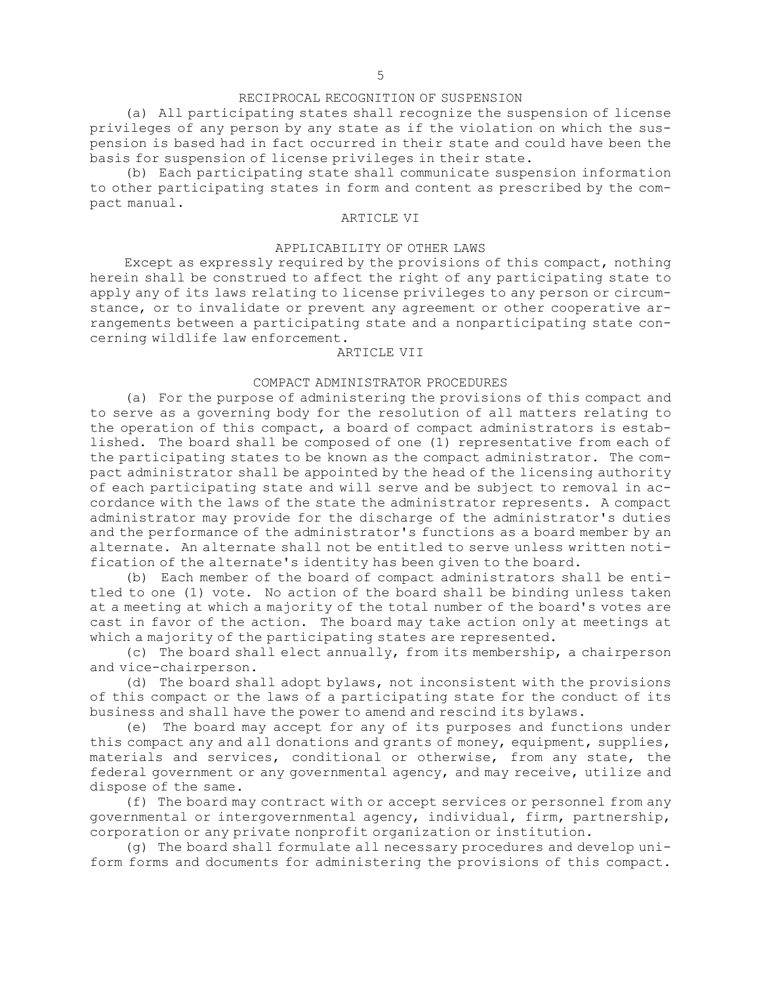## RECIPROCAL RECOGNITION OF SUSPENSION

(a) All participating states shall recognize the suspension of license privileges of any person by any state as if the violation on which the suspension is based had in fact occurred in their state and could have been the basis for suspension of license privileges in their state.

(b) Each participating state shall communicate suspension information to other participating states in form and content as prescribed by the compact manual.

# ARTICLE VI

# APPLICABILITY OF OTHER LAWS

Except as expressly required by the provisions of this compact, nothing herein shall be construed to affect the right of any participating state to apply any of its laws relating to license privileges to any person or circumstance, or to invalidate or prevent any agreement or other cooperative arrangements between <sup>a</sup> participating state and <sup>a</sup> nonparticipating state concerning wildlife law enforcement.

#### ARTICLE VII

# COMPACT ADMINISTRATOR PROCEDURES

(a) For the purpose of administering the provisions of this compact and to serve as <sup>a</sup> governing body for the resolution of all matters relating to the operation of this compact, <sup>a</sup> board of compact administrators is established. The board shall be composed of one (1) representative from each of the participating states to be known as the compact administrator. The compact administrator shall be appointed by the head of the licensing authority of each participating state and will serve and be subject to removal in accordance with the laws of the state the administrator represents. <sup>A</sup> compact administrator may provide for the discharge of the administrator's duties and the performance of the administrator's functions as <sup>a</sup> board member by an alternate. An alternate shall not be entitled to serve unless written notification of the alternate's identity has been given to the board.

(b) Each member of the board of compact administrators shall be entitled to one (1) vote. No action of the board shall be binding unless taken at <sup>a</sup> meeting at which <sup>a</sup> majority of the total number of the board's votes are cast in favor of the action. The board may take action only at meetings at which <sup>a</sup> majority of the participating states are represented.

(c) The board shall elect annually, from its membership, <sup>a</sup> chairperson and vice-chairperson.

(d) The board shall adopt bylaws, not inconsistent with the provisions of this compact or the laws of <sup>a</sup> participating state for the conduct of its business and shall have the power to amend and rescind its bylaws.

(e) The board may accept for any of its purposes and functions under this compact any and all donations and grants of money, equipment, supplies, materials and services, conditional or otherwise, from any state, the federal government or any governmental agency, and may receive, utilize and dispose of the same.

(f) The board may contract with or accept services or personnel from any governmental or intergovernmental agency, individual, firm, partnership, corporation or any private nonprofit organization or institution.

(g) The board shall formulate all necessary procedures and develop uniform forms and documents for administering the provisions of this compact.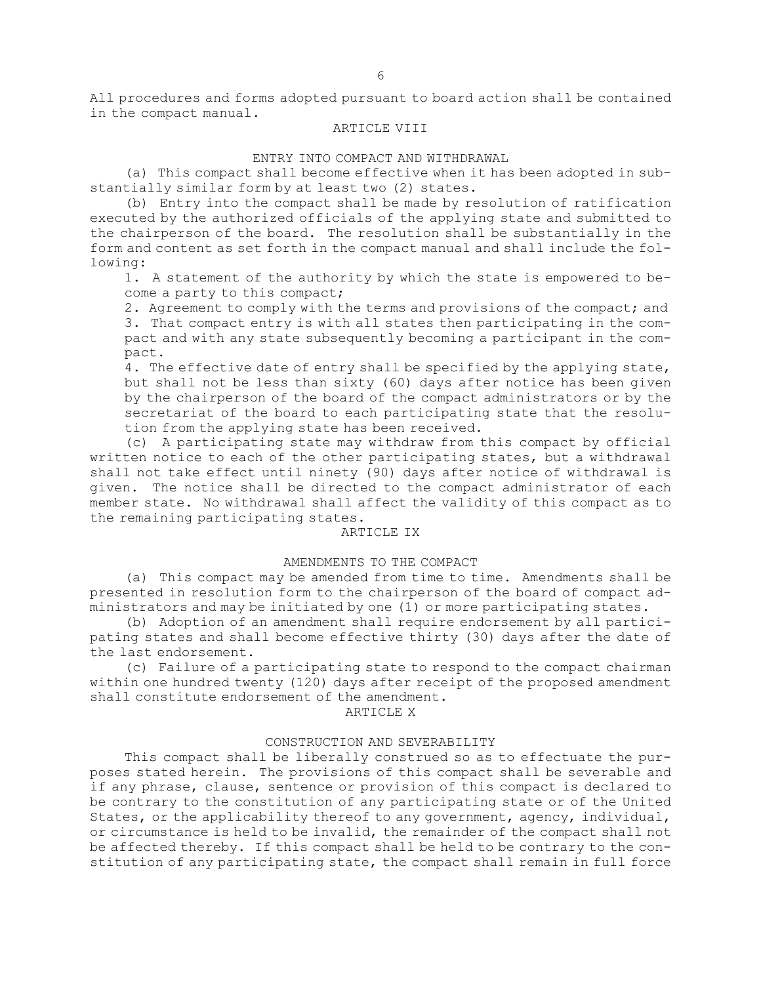All procedures and forms adopted pursuant to board action shall be contained in the compact manual.

#### ARTICLE VIII

#### ENTRY INTO COMPACT AND WITHDRAWAL

(a) This compact shall become effective when it has been adopted in substantially similar form by at least two (2) states.

(b) Entry into the compact shall be made by resolution of ratification executed by the authorized officials of the applying state and submitted to the chairperson of the board. The resolution shall be substantially in the form and content as set forth in the compact manual and shall include the following:

1. <sup>A</sup> statement of the authority by which the state is empowered to become <sup>a</sup> party to this compact;

2. Agreement to comply with the terms and provisions of the compact; and 3. That compact entry is with all states then participating in the compact and with any state subsequently becoming <sup>a</sup> participant in the compact.

4. The effective date of entry shall be specified by the applying state, but shall not be less than sixty (60) days after notice has been given by the chairperson of the board of the compact administrators or by the secretariat of the board to each participating state that the resolution from the applying state has been received.

(c) <sup>A</sup> participating state may withdraw from this compact by official written notice to each of the other participating states, but <sup>a</sup> withdrawal shall not take effect until ninety (90) days after notice of withdrawal is given. The notice shall be directed to the compact administrator of each member state. No withdrawal shall affect the validity of this compact as to the remaining participating states.

#### ARTICLE IX

#### AMENDMENTS TO THE COMPACT

(a) This compact may be amended from time to time. Amendments shall be presented in resolution form to the chairperson of the board of compact administrators and may be initiated by one (1) or more participating states.

(b) Adoption of an amendment shall require endorsement by all participating states and shall become effective thirty (30) days after the date of the last endorsement.

(c) Failure of <sup>a</sup> participating state to respond to the compact chairman within one hundred twenty (120) days after receipt of the proposed amendment shall constitute endorsement of the amendment.

ARTICLE X

#### CONSTRUCTION AND SEVERABILITY

This compact shall be liberally construed so as to effectuate the purposes stated herein. The provisions of this compact shall be severable and if any phrase, clause, sentence or provision of this compact is declared to be contrary to the constitution of any participating state or of the United States, or the applicability thereof to any government, agency, individual, or circumstance is held to be invalid, the remainder of the compact shall not be affected thereby. If this compact shall be held to be contrary to the constitution of any participating state, the compact shall remain in full force